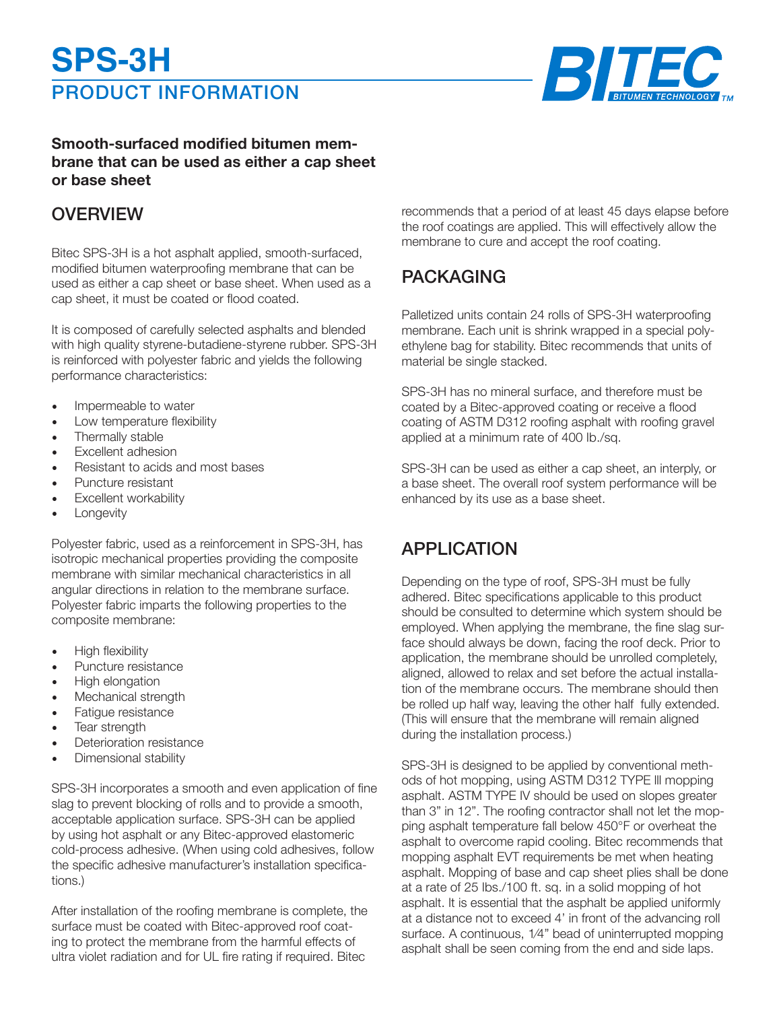# PRODUCT INFORMATION **SPS-3H**



#### **Smooth-surfaced modified bitumen membrane that can be used as either a cap sheet or base sheet**

## **OVERVIEW**

Bitec SPS-3H is a hot asphalt applied, smooth-surfaced, modified bitumen waterproofing membrane that can be used as either a cap sheet or base sheet. When used as a cap sheet, it must be coated or flood coated.

It is composed of carefully selected asphalts and blended with high quality styrene-butadiene-styrene rubber. SPS-3H is reinforced with polyester fabric and yields the following performance characteristics:

- Impermeable to water
- Low temperature flexibility
- Thermally stable
- Excellent adhesion
- Resistant to acids and most bases
- Puncture resistant
- Excellent workability
- **Longevity**

Polyester fabric, used as a reinforcement in SPS-3H, has isotropic mechanical properties providing the composite membrane with similar mechanical characteristics in all angular directions in relation to the membrane surface. Polyester fabric imparts the following properties to the composite membrane:

- High flexibility
- Puncture resistance
- High elongation
- Mechanical strength
- Fatigue resistance
- Tear strength
- Deterioration resistance
- Dimensional stability

SPS-3H incorporates a smooth and even application of fine slag to prevent blocking of rolls and to provide a smooth, acceptable application surface. SPS-3H can be applied by using hot asphalt or any Bitec-approved elastomeric cold-process adhesive. (When using cold adhesives, follow the specific adhesive manufacturer's installation specifications.)

After installation of the roofing membrane is complete, the surface must be coated with Bitec-approved roof coating to protect the membrane from the harmful effects of ultra violet radiation and for UL fire rating if required. Bitec

recommends that a period of at least 45 days elapse before the roof coatings are applied. This will effectively allow the membrane to cure and accept the roof coating.

## PACKAGING

Palletized units contain 24 rolls of SPS-3H waterproofing membrane. Each unit is shrink wrapped in a special polyethylene bag for stability. Bitec recommends that units of material be single stacked.

SPS-3H has no mineral surface, and therefore must be coated by a Bitec-approved coating or receive a flood coating of ASTM D312 roofing asphalt with roofing gravel applied at a minimum rate of 400 Ib./sq.

SPS-3H can be used as either a cap sheet, an interply, or a base sheet. The overall roof system performance will be enhanced by its use as a base sheet.

## APPLICATION

Depending on the type of roof, SPS-3H must be fully adhered. Bitec specifications applicable to this product should be consulted to determine which system should be employed. When applying the membrane, the fine slag surface should always be down, facing the roof deck. Prior to application, the membrane should be unrolled completely, aligned, allowed to relax and set before the actual installation of the membrane occurs. The membrane should then be rolled up half way, leaving the other half fully extended. (This will ensure that the membrane will remain aligned during the installation process.)

SPS-3H is designed to be applied by conventional methods of hot mopping, using ASTM D312 TYPE lll mopping asphalt. ASTM TYPE IV should be used on slopes greater than 3" in 12". The roofing contractor shall not let the mopping asphalt temperature fall below 450°F or overheat the asphalt to overcome rapid cooling. Bitec recommends that mopping asphalt EVT requirements be met when heating asphalt. Mopping of base and cap sheet plies shall be done at a rate of 25 Ibs./100 ft. sq. in a solid mopping of hot asphalt. It is essential that the asphalt be applied uniformly at a distance not to exceed 4' in front of the advancing roll surface. A continuous, 1⁄4" bead of uninterrupted mopping asphalt shall be seen coming from the end and side laps.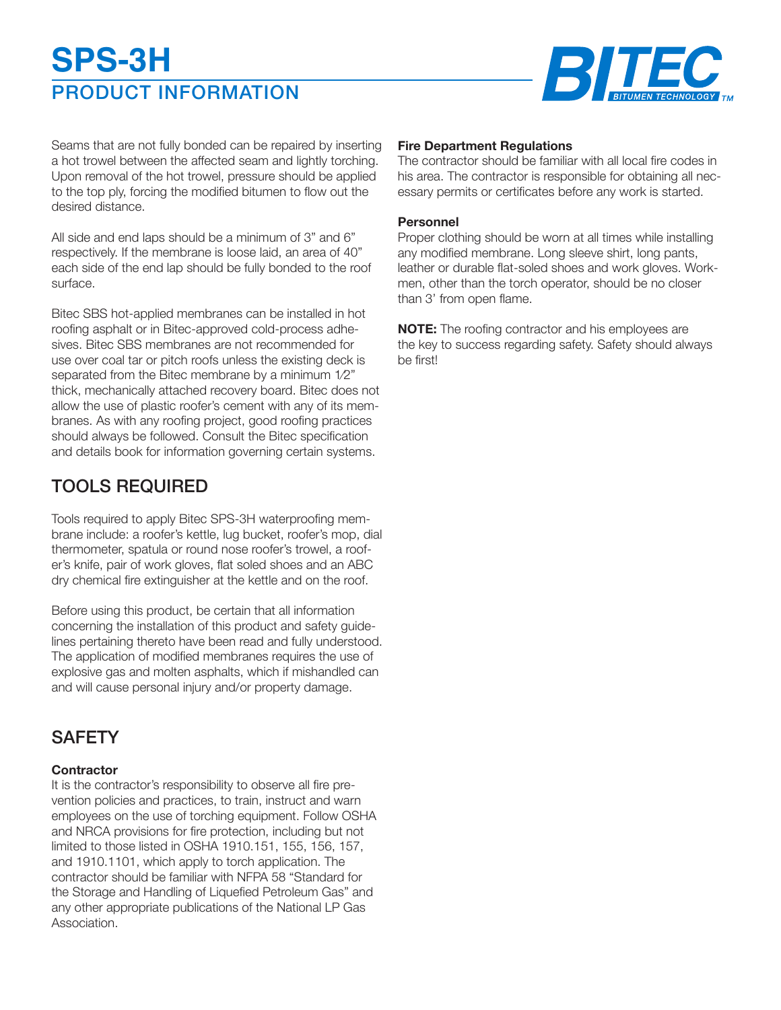# PRODUCT INFORMATION **SPS-3H**



Seams that are not fully bonded can be repaired by inserting a hot trowel between the affected seam and lightly torching. Upon removal of the hot trowel, pressure should be applied to the top ply, forcing the modified bitumen to flow out the desired distance.

All side and end laps should be a minimum of 3" and 6" respectively. If the membrane is loose laid, an area of 40" each side of the end lap should be fully bonded to the roof surface.

Bitec SBS hot-applied membranes can be installed in hot roofing asphalt or in Bitec-approved cold-process adhesives. Bitec SBS membranes are not recommended for use over coal tar or pitch roofs unless the existing deck is separated from the Bitec membrane by a minimum 1⁄2" thick, mechanically attached recovery board. Bitec does not allow the use of plastic roofer's cement with any of its membranes. As with any roofing project, good roofing practices should always be followed. Consult the Bitec specification and details book for information governing certain systems.

# TOOLS REQUIRED

Tools required to apply Bitec SPS-3H waterproofing membrane include: a roofer's kettle, lug bucket, roofer's mop, dial thermometer, spatula or round nose roofer's trowel, a roofer's knife, pair of work gloves, flat soled shoes and an ABC dry chemical fire extinguisher at the kettle and on the roof.

Before using this product, be certain that all information concerning the installation of this product and safety guidelines pertaining thereto have been read and fully understood. The application of modified membranes requires the use of explosive gas and molten asphalts, which if mishandled can and will cause personal injury and/or property damage.

# **SAFETY**

#### **Contractor**

It is the contractor's responsibility to observe all fire prevention policies and practices, to train, instruct and warn employees on the use of torching equipment. Follow OSHA and NRCA provisions for fire protection, including but not limited to those listed in OSHA 1910.151, 155, 156, 157, and 1910.1101, which apply to torch application. The contractor should be familiar with NFPA 58 "Standard for the Storage and Handling of Liquefied Petroleum Gas" and any other appropriate publications of the National LP Gas Association.

#### **Fire Department Regulations**

The contractor should be familiar with all local fire codes in his area. The contractor is responsible for obtaining all necessary permits or certificates before any work is started.

#### **Personnel**

Proper clothing should be worn at all times while installing any modified membrane. Long sleeve shirt, long pants, leather or durable flat-soled shoes and work gloves. Workmen, other than the torch operator, should be no closer than 3' from open flame.

**NOTE:** The roofing contractor and his employees are the key to success regarding safety. Safety should always be first!